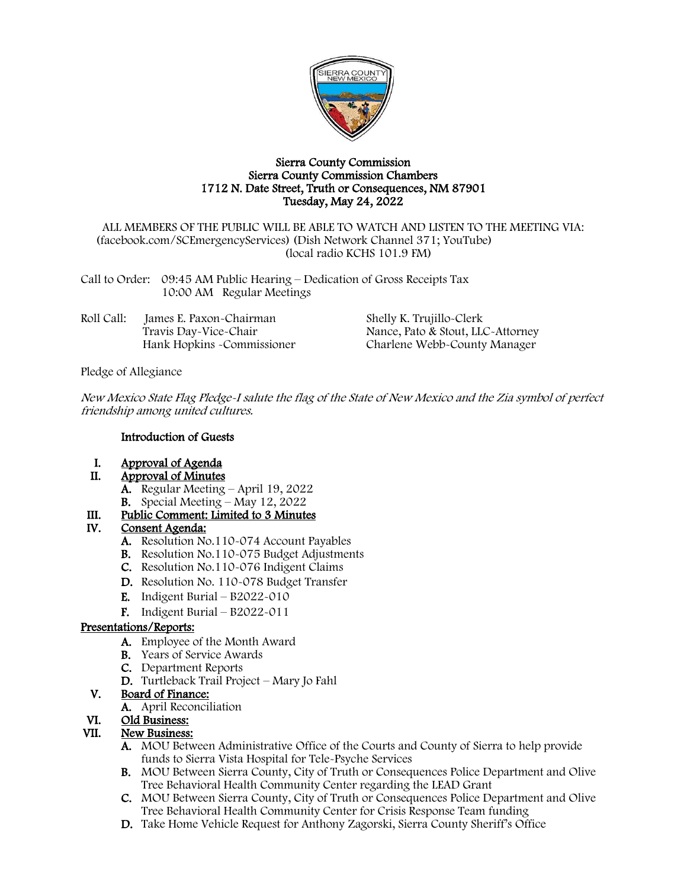

#### Sierra County Commission Sierra County Commission Chambers 1712 N. Date Street, Truth or Consequences, NM 87901 Tuesday, May 24, 2022

ALL MEMBERS OF THE PUBLIC WILL BE ABLE TO WATCH AND LISTEN TO THE MEETING VIA: (facebook.com/SCEmergencyServices) (Dish Network Channel 371; YouTube) (local radio KCHS 101.9 FM)

Call to Order: 09:45 AM Public Hearing – Dedication of Gross Receipts Tax 10:00 AM Regular Meetings

| Roll Call: | James E. Paxon-Chairman     | Shelly K. Trujillo-Clerk          |
|------------|-----------------------------|-----------------------------------|
|            | Travis Day-Vice-Chair       | Nance, Pato & Stout, LLC-Attorney |
|            | Hank Hopkins - Commissioner | Charlene Webb-County Manager      |

Pledge of Allegiance

New Mexico State Flag Pledge-I salute the flag of the State of New Mexico and the Zia symbol of perfect friendship among united cultures.

#### Introduction of Guests

- I. Approval of Agenda<br>II. Approval of Minutes
	- Approval of Minutes
		- A. Regular Meeting April 19, 2022
		- **B.** Special Meeting May 12, 2022

# III. Public Comment: Limited to 3 Minutes<br>IV. Consent Agenda:

### Consent Agenda:

- A. Resolution No.110-074 Account Payables
- B. Resolution No.110-075 Budget Adjustments
- C. Resolution No.110-076 Indigent Claims
- D. Resolution No. 110-078 Budget Transfer
- **E.** Indigent Burial  $B2022-010$
- F. Indigent Burial B2022-011

#### Presentations/Reports:

- A. Employee of the Month Award
- B. Years of Service Awards
- C. Department Reports
- D. Turtleback Trail Project Mary Jo Fahl

#### V. Board of Finance:

A. April Reconciliation

# VI. Old Business:<br>VII. New Business:

#### **New Business:**

- A. MOU Between Administrative Office of the Courts and County of Sierra to help provide funds to Sierra Vista Hospital for Tele-Psyche Services
- B. MOU Between Sierra County, City of Truth or Consequences Police Department and Olive Tree Behavioral Health Community Center regarding the LEAD Grant
- C. MOU Between Sierra County, City of Truth or Consequences Police Department and Olive Tree Behavioral Health Community Center for Crisis Response Team funding
- D. Take Home Vehicle Request for Anthony Zagorski, Sierra County Sheriff's Office